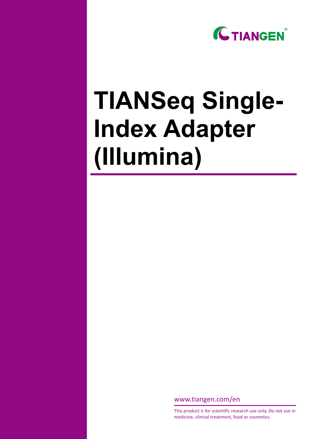

# **TIANSeq Single-Index Adapter (Illumina)**

www.tiangen.com/en

This product is for scientific research use only. Do not use in medicine, clinical treatment, food or cosmetics.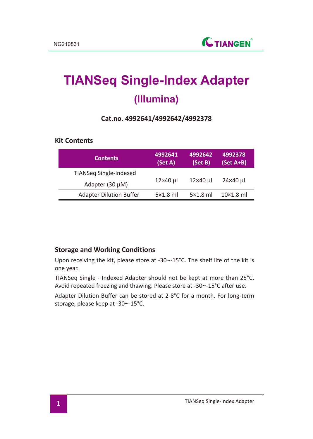# **TIANSeq Single-Index Adapter (Illumina)**

#### **Cat.no. 4992641/4992642/4992378**

#### **Kit Contents**

| <b>Contents</b>                | 4992641<br>(Set A) | 4992642<br>(Set B) | 4992378<br>$(Set A+B)$ |  |
|--------------------------------|--------------------|--------------------|------------------------|--|
| TIANSeg Single-Indexed         |                    |                    |                        |  |
| Adapter (30 µM)                | 12×40 µl           | $12\times40$ µ     | 24×40 µl               |  |
| <b>Adapter Dilution Buffer</b> | $5\times1.8$ ml    | $5\times1.8$ ml    | $10\times1.8$ ml       |  |

#### **Storage and Working Conditions**

Upon receiving the kit, please store at -30~-15°C. The shelf life of the kit is one year.

TIANSeq Single - Indexed Adapter should not be kept at more than 25°C. Avoid repeated freezing and thawing. Please store at -30~-15°C after use.

Adapter Dilution Buffer can be stored at 2-8°C for a month. For long-term storage, please keep at -30~-15°C.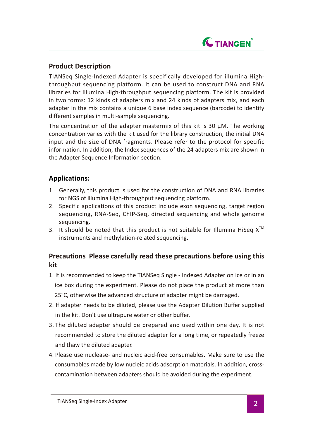

## **Product Description**

TIANSeq Single-Indexed Adapter is specifically developed for illumina Highthroughput sequencing platform. It can be used to construct DNA and RNA libraries for illumina High-throughput sequencing platform. The kit is provided in two forms: 12 kinds of adapters mix and 24 kinds of adapters mix, and each adapter in the mix contains a unique 6 base index sequence (barcode) to identify different samples in multi-sample sequencing.

The concentration of the adapter mastermix of this kit is 30  $\mu$ M. The working concentration varies with the kit used for the library construction, the initial DNA input and the size of DNA fragments. Please refer to the protocol for specific information. In addition, the Index sequences of the 24 adapters mix are shown in the Adapter Sequence Information section.

### **Applications:**

- 1. Generally, this product is used for the construction of DNA and RNA libraries for NGS of illumina High-throughput sequencing platform.
- 2. Specific applications of this product include exon sequencing, target region sequencing, RNA-Seq, ChIP-Seq, directed sequencing and whole genome sequencing.
- 3. It should be noted that this product is not suitable for Illumina HiSeq  $X^{TM}$ instruments and methylation-related sequencing.

# **Precautions Please carefully read these precautions before using this kit**

- 1. It is recommended to keep the TIANSeq Single Indexed Adapter on ice or in an ice box during the experiment. Please do not place the product at more than 25°C, otherwise the advanced structure of adapter might be damaged.
- 2. If adapter needs to be diluted, please use the Adapter Dilution Buffer supplied in the kit. Don't use ultrapure water or other buffer.
- 3. The diluted adapter should be prepared and used within one day. It is not recommended to store the diluted adapter for a long time, or repeatedly freeze and thaw the diluted adapter.
- 4. Please use nuclease- and nucleic acid-free consumables. Make sure to use the consumables made by low nucleic acids adsorption materials. In addition, cross contamination between adapters should be avoided during the experiment.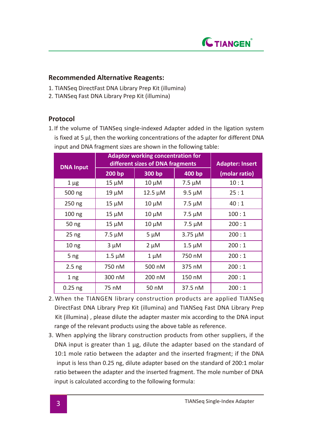

#### **Recommended Alternative Reagents:**

- 1. TIANSeq DirectFast DNA Library Prep Kit (illumina)
- 2. TIANSeq Fast DNA Library Prep Kit (illumina)

#### **Protocol**

1. If the volume of TIANSeq single-indexed Adapter added in the ligation system is fixed at 5 µl, then the working concentrations of the adapter for different DNA input and DNA fragment sizes are shown in the following table:

| <b>DNA Input</b> | <b>Adaptor working concentration for</b><br>different sizes of DNA fragments |              |              | <b>Adapter: Insert</b> |
|------------------|------------------------------------------------------------------------------|--------------|--------------|------------------------|
|                  | 200 bp                                                                       | 300 bp       | 400 bp       | (molar ratio)          |
| $1 \mu$ g        | $15 \mu M$                                                                   | $10 \mu M$   | $7.5 \mu M$  | 10:1                   |
| 500 ng           | $19 \mu M$                                                                   | $12.5 \mu M$ | $9.5 \mu M$  | 25:1                   |
| $250$ ng         | $15 \mu M$                                                                   | $10 \mu M$   | $7.5 \mu M$  | 40:1                   |
| $100$ ng         | $15 \mu M$                                                                   | $10 \mu M$   | 7.5 µM       | 100:1                  |
| 50 ng            | $15 \mu M$                                                                   | $10 \mu M$   | $7.5 \mu M$  | 200:1                  |
| 25 <sub>ng</sub> | $7.5 \mu M$                                                                  | $5 \mu M$    | $3.75 \mu M$ | 200:1                  |
| 10 <sub>ng</sub> | 3 µM                                                                         | $2 \mu M$    | $1.5 \mu M$  | 200:1                  |
| 5 <sub>ng</sub>  | $1.5 \mu M$                                                                  | 1 μM         | 750 nM       | 200:1                  |
| $2.5$ ng         | 750 nM                                                                       | 500 nM       | 375 nM       | 200:1                  |
| 1 <sub>ng</sub>  | 300 nM                                                                       | 200 nM       | 150 nM       | 200:1                  |
| $0.25$ ng        | 75 nM                                                                        | 50 nM        | 37.5 nM      | 200:1                  |

- 2. When the TIANGEN library construction products are applied TIANSeq DirectFast DNA Library Prep Kit (illumina) and TIANSeq Fast DNA Library Prep Kit (illumina) , please dilute the adapter master mix according to the DNA input range of the relevant products using the above table as reference.
- 3. When applying the library construction products from other suppliers, if the DNA input is greater than 1 µg, dilute the adapter based on the standard of 10:1 mole ratio between the adapter and the inserted fragment; if the DNA input is less than 0.25 ng, dilute adapter based on the standard of 200:1 molar ratio between the adapter and the inserted fragment. The mole number of DNA input is calculated according to the following formula: